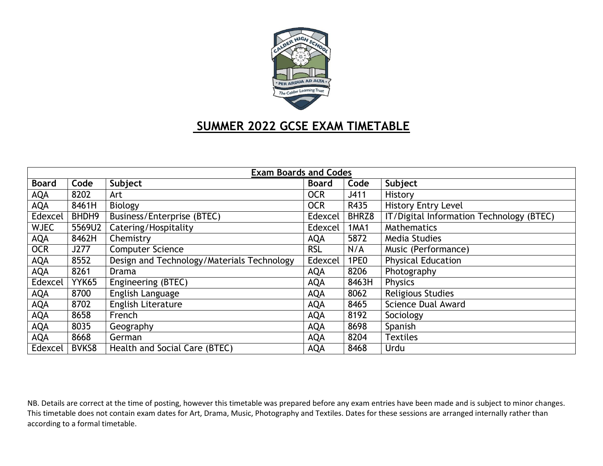

# **SUMMER 2022 GCSE EXAM TIMETABLE**

| <b>Exam Boards and Codes</b> |              |                                            |              |                  |                                          |  |  |
|------------------------------|--------------|--------------------------------------------|--------------|------------------|------------------------------------------|--|--|
| <b>Board</b>                 | Code         | Subject                                    | <b>Board</b> | Code             | Subject                                  |  |  |
| <b>AQA</b>                   | 8202         | Art                                        | <b>OCR</b>   | J411             | History                                  |  |  |
| <b>AQA</b>                   | 8461H        | Biology                                    | <b>OCR</b>   | R435             | <b>History Entry Level</b>               |  |  |
| Edexcel                      | BHDH9        | <b>Business/Enterprise (BTEC)</b>          | Edexcel      | BHRZ8            | IT/Digital Information Technology (BTEC) |  |  |
| <b>WJEC</b>                  | 5569U2       | Catering/Hospitality                       | Edexcel      | <b>1MA1</b>      | <b>Mathematics</b>                       |  |  |
| <b>AQA</b>                   | 8462H        | Chemistry                                  | <b>AQA</b>   | 5872             | <b>Media Studies</b>                     |  |  |
| <b>OCR</b>                   | J277         | <b>Computer Science</b>                    | <b>RSL</b>   | N/A              | Music (Performance)                      |  |  |
| <b>AQA</b>                   | 8552         | Design and Technology/Materials Technology | Edexcel      | 1PE <sub>0</sub> | <b>Physical Education</b>                |  |  |
| <b>AQA</b>                   | 8261         | Drama                                      | <b>AQA</b>   | 8206             | Photography                              |  |  |
| Edexcel                      | YYK65        | Engineering (BTEC)                         | <b>AQA</b>   | 8463H            | <b>Physics</b>                           |  |  |
| <b>AQA</b>                   | 8700         | English Language                           | <b>AQA</b>   | 8062             | <b>Religious Studies</b>                 |  |  |
| <b>AQA</b>                   | 8702         | <b>English Literature</b>                  | <b>AQA</b>   | 8465             | <b>Science Dual Award</b>                |  |  |
| <b>AQA</b>                   | 8658         | French                                     | <b>AQA</b>   | 8192             | Sociology                                |  |  |
| <b>AQA</b>                   | 8035         | Geography                                  | <b>AQA</b>   | 8698             | Spanish                                  |  |  |
| <b>AQA</b>                   | 8668         | German                                     | <b>AQA</b>   | 8204             | <b>Textiles</b>                          |  |  |
| Edexcel                      | <b>BVKS8</b> | Health and Social Care (BTEC)              | <b>AQA</b>   | 8468             | Urdu                                     |  |  |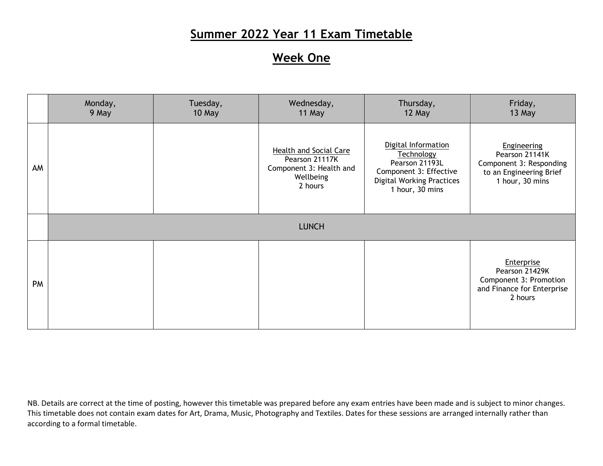# **Week One**

|           | Monday,<br>9 May | Tuesday,<br>10 May | Wednesday,<br>11 May                                                                        | Thursday,<br>12 May                                                                                                                  | Friday,<br>13 May                                                                                             |
|-----------|------------------|--------------------|---------------------------------------------------------------------------------------------|--------------------------------------------------------------------------------------------------------------------------------------|---------------------------------------------------------------------------------------------------------------|
| AM        |                  |                    | Health and Social Care<br>Pearson 21117K<br>Component 3: Health and<br>Wellbeing<br>2 hours | Digital Information<br>Technology<br>Pearson 21193L<br>Component 3: Effective<br><b>Digital Working Practices</b><br>1 hour, 30 mins | <b>Engineering</b><br>Pearson 21141K<br>Component 3: Responding<br>to an Engineering Brief<br>1 hour, 30 mins |
|           |                  |                    | <b>LUNCH</b>                                                                                |                                                                                                                                      |                                                                                                               |
| <b>PM</b> |                  |                    |                                                                                             |                                                                                                                                      | Enterprise<br>Pearson 21429K<br>Component 3: Promotion<br>and Finance for Enterprise<br>2 hours               |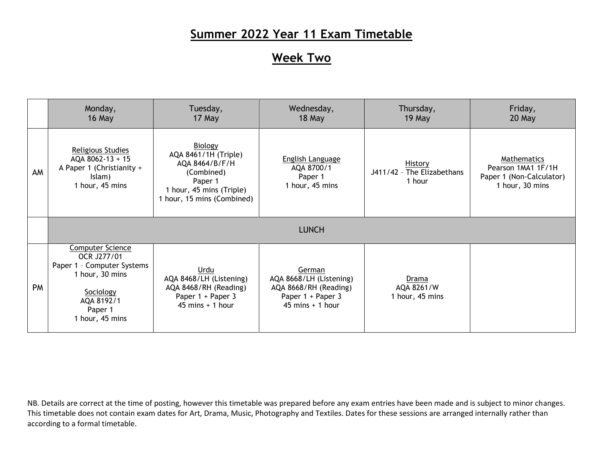#### **Week Two**

|           | Monday,<br>16 May                                                                                                                                | Tuesday,<br>17 May                                                                                                                   | Wednesday,<br>18 May                                                                                  | Thursday,<br>19 May                                    | Friday,<br>20 May                                                                |  |
|-----------|--------------------------------------------------------------------------------------------------------------------------------------------------|--------------------------------------------------------------------------------------------------------------------------------------|-------------------------------------------------------------------------------------------------------|--------------------------------------------------------|----------------------------------------------------------------------------------|--|
| AM        | <b>Religious Studies</b><br>AQA 8062-13 + 15<br>A Paper 1 (Christianity +<br>Islam)<br>1 hour, 45 mins                                           | Biology<br>AQA 8461/1H (Triple)<br>AQA 8464/B/F/H<br>(Combined)<br>Paper 1<br>1 hour, 45 mins (Triple)<br>1 hour, 15 mins (Combined) | <b>English Language</b><br>AQA 8700/1<br>Paper 1<br>1 hour, 45 mins                                   | <b>History</b><br>J411/42 - The Elizabethans<br>1 hour | Mathematics<br>Pearson 1MA1 1F/1H<br>Paper 1 (Non-Calculator)<br>1 hour, 30 mins |  |
|           | <b>LUNCH</b>                                                                                                                                     |                                                                                                                                      |                                                                                                       |                                                        |                                                                                  |  |
| <b>PM</b> | <b>Computer Science</b><br>OCR J277/01<br>Paper 1 - Computer Systems<br>1 hour, 30 mins<br>Sociology<br>AQA 8192/1<br>Paper 1<br>1 hour, 45 mins | Urdu<br>AQA 8468/LH (Listening)<br>AQA 8468/RH (Reading)<br>Paper 1 + Paper 3<br>$45$ mins + 1 hour                                  | German<br>AQA 8668/LH (Listening)<br>AQA 8668/RH (Reading)<br>Paper 1 + Paper 3<br>$45$ mins + 1 hour | Drama<br>AQA 8261/W<br>1 hour, 45 mins                 |                                                                                  |  |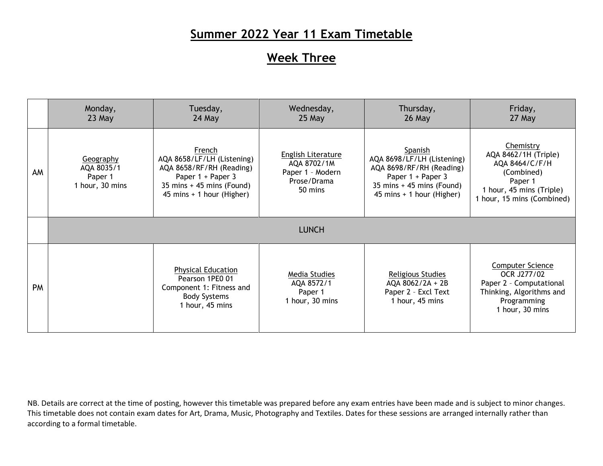#### **Week Three**

|           | Monday,<br>23 May                                     | Tuesday,<br>24 May                                                                                                                                                | Wednesday,<br>25 May                                                            | Thursday,<br>26 May                                                                                                                                                  | Friday,<br>27 May                                                                                                                      |  |
|-----------|-------------------------------------------------------|-------------------------------------------------------------------------------------------------------------------------------------------------------------------|---------------------------------------------------------------------------------|----------------------------------------------------------------------------------------------------------------------------------------------------------------------|----------------------------------------------------------------------------------------------------------------------------------------|--|
| AM        | Geography<br>AQA 8035/1<br>Paper 1<br>1 hour, 30 mins | French<br>AQA 8658/LF/LH (Listening)<br>AQA 8658/RF/RH (Reading)<br>Paper 1 + Paper 3<br>$35 \text{ mins} + 45 \text{ mins}$ (Found)<br>45 mins + 1 hour (Higher) | English Literature<br>AQA 8702/1M<br>Paper 1 - Modern<br>Prose/Drama<br>50 mins | Spanish<br>AQA 8698/LF/LH (Listening)<br>AQA 8698/RF/RH (Reading)<br>Paper 1 + Paper 3<br>$35 \text{ mins} + 45 \text{ mins}$ (Found)<br>45 mins $+$ 1 hour (Higher) | Chemistry<br>AQA 8462/1H (Triple)<br>AQA 8464/C/F/H<br>(Combined)<br>Paper 1<br>1 hour, 45 mins (Triple)<br>1 hour, 15 mins (Combined) |  |
|           | <b>LUNCH</b>                                          |                                                                                                                                                                   |                                                                                 |                                                                                                                                                                      |                                                                                                                                        |  |
| <b>PM</b> |                                                       | <b>Physical Education</b><br>Pearson 1PE0 01<br>Component 1: Fitness and<br><b>Body Systems</b><br>1 hour, 45 mins                                                | Media Studies<br>AQA 8572/1<br>Paper 1<br>1 hour, 30 mins                       | Religious Studies<br>AQA 8062/2A + 2B<br>Paper 2 - Excl Text<br>1 hour, 45 mins                                                                                      | <b>Computer Science</b><br>OCR J277/02<br>Paper 2 - Computational<br>Thinking, Algorithms and<br>Programming<br>1 hour, 30 mins        |  |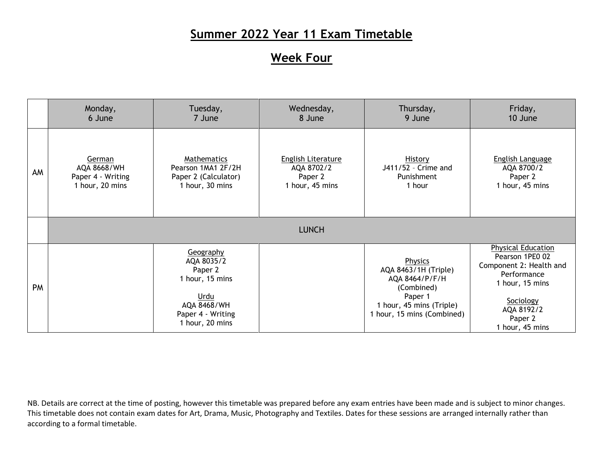#### **Week Four**

|    | Monday,           | Tuesday,                                                                                                             | Wednesday,         | Thursday,                                                                                                                            | Friday,                                                                                                                                                            |
|----|-------------------|----------------------------------------------------------------------------------------------------------------------|--------------------|--------------------------------------------------------------------------------------------------------------------------------------|--------------------------------------------------------------------------------------------------------------------------------------------------------------------|
|    | 6 June            | 7 June                                                                                                               | 8 June             | 9 June                                                                                                                               | 10 June                                                                                                                                                            |
| AM | German            | Mathematics                                                                                                          | English Literature | <b>History</b>                                                                                                                       | <b>English Language</b>                                                                                                                                            |
|    | AQA 8668/WH       | Pearson 1MA1 2F/2H                                                                                                   | AQA 8702/2         | J411/52 - Crime and                                                                                                                  | AQA 8700/2                                                                                                                                                         |
|    | Paper 4 - Writing | Paper 2 (Calculator)                                                                                                 | Paper 2            | Punishment                                                                                                                           | Paper 2                                                                                                                                                            |
|    | 1 hour, 20 mins   | 1 hour, 30 mins                                                                                                      | 1 hour, 45 mins    | 1 hour                                                                                                                               | 1 hour, 45 mins                                                                                                                                                    |
|    |                   |                                                                                                                      | <b>LUNCH</b>       |                                                                                                                                      |                                                                                                                                                                    |
| PM |                   | Geography<br>AQA 8035/2<br>Paper 2<br>1 hour, 15 mins<br>Urdu<br>AQA 8468/WH<br>Paper 4 - Writing<br>1 hour, 20 mins |                    | Physics<br>AQA 8463/1H (Triple)<br>AQA 8464/P/F/H<br>(Combined)<br>Paper 1<br>1 hour, 45 mins (Triple)<br>1 hour, 15 mins (Combined) | <b>Physical Education</b><br>Pearson 1PE0 02<br>Component 2: Health and<br>Performance<br>1 hour, 15 mins<br>Sociology<br>AQA 8192/2<br>Paper 2<br>1 hour, 45 mins |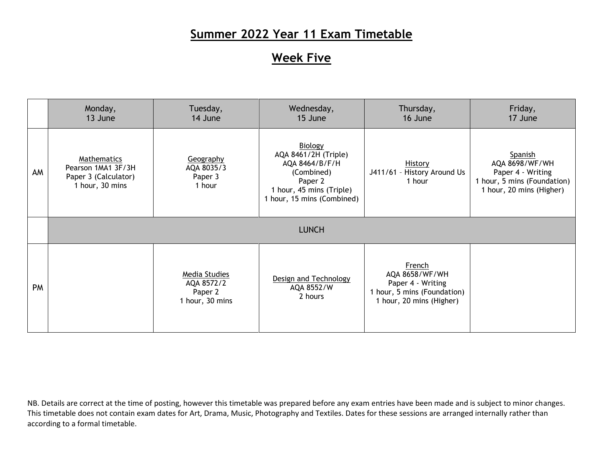## **Week Five**

|    | Monday,<br>13 June                                                           | Tuesday,<br>14 June                                       | Wednesday,<br>15 June                                                                                                                | Thursday,<br>16 June                                                                                     | Friday,<br>17 June                                                                                        |  |  |
|----|------------------------------------------------------------------------------|-----------------------------------------------------------|--------------------------------------------------------------------------------------------------------------------------------------|----------------------------------------------------------------------------------------------------------|-----------------------------------------------------------------------------------------------------------|--|--|
| AM | Mathematics<br>Pearson 1MA1 3F/3H<br>Paper 3 (Calculator)<br>1 hour, 30 mins | Geography<br>AQA 8035/3<br>Paper 3<br>1 hour              | Biology<br>AQA 8461/2H (Triple)<br>AQA 8464/B/F/H<br>(Combined)<br>Paper 2<br>1 hour, 45 mins (Triple)<br>1 hour, 15 mins (Combined) | <b>History</b><br>History Around Us<br>$J411/61 -$<br>1 hour                                             | Spanish<br>AQA 8698/WF/WH<br>Paper 4 - Writing<br>1 hour, 5 mins (Foundation)<br>1 hour, 20 mins (Higher) |  |  |
|    | <b>LUNCH</b>                                                                 |                                                           |                                                                                                                                      |                                                                                                          |                                                                                                           |  |  |
| PM |                                                                              | Media Studies<br>AQA 8572/2<br>Paper 2<br>1 hour, 30 mins | Design and Technology<br>AQA 8552/W<br>2 hours                                                                                       | French<br>AQA 8658/WF/WH<br>Paper 4 - Writing<br>1 hour, 5 mins (Foundation)<br>1 hour, 20 mins (Higher) |                                                                                                           |  |  |